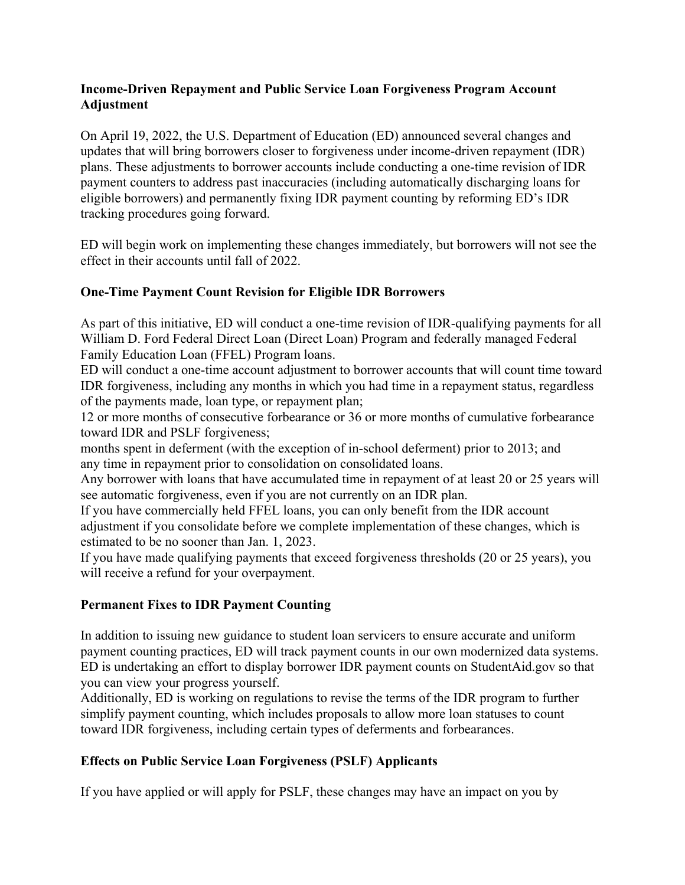### **Income-Driven Repayment and Public Service Loan Forgiveness Program Account Adjustment**

On April 19, 2022, the U.S. Department of Education (ED) announced several changes and updates that will bring borrowers closer to forgiveness under income-driven repayment (IDR) plans. These adjustments to borrower accounts include conducting a one-time revision of IDR payment counters to address past inaccuracies (including automatically discharging loans for eligible borrowers) and permanently fixing IDR payment counting by reforming ED's IDR tracking procedures going forward.

ED will begin work on implementing these changes immediately, but borrowers will not see the effect in their accounts until fall of 2022.

# **One-Time Payment Count Revision for Eligible IDR Borrowers**

As part of this initiative, ED will conduct a one-time revision of IDR-qualifying payments for all William D. Ford Federal Direct Loan (Direct Loan) Program and federally managed Federal Family Education Loan (FFEL) Program loans.

ED will conduct a one-time account adjustment to borrower accounts that will count time toward IDR forgiveness, including any months in which you had time in a repayment status, regardless of the payments made, loan type, or repayment plan;

12 or more months of consecutive forbearance or 36 or more months of cumulative forbearance toward IDR and PSLF forgiveness;

months spent in deferment (with the exception of in-school deferment) prior to 2013; and any time in repayment prior to consolidation on consolidated loans.

Any borrower with loans that have accumulated time in repayment of at least 20 or 25 years will see automatic forgiveness, even if you are not currently on an IDR plan.

If you have commercially held FFEL loans, you can only benefit from the IDR account adjustment if you consolidate before we complete implementation of these changes, which is estimated to be no sooner than Jan. 1, 2023.

If you have made qualifying payments that exceed forgiveness thresholds (20 or 25 years), you will receive a refund for your overpayment.

### **Permanent Fixes to IDR Payment Counting**

In addition to issuing new guidance to student loan servicers to ensure accurate and uniform payment counting practices, ED will track payment counts in our own modernized data systems. ED is undertaking an effort to display borrower IDR payment counts on StudentAid.gov so that you can view your progress yourself.

Additionally, ED is working on regulations to revise the terms of the IDR program to further simplify payment counting, which includes proposals to allow more loan statuses to count toward IDR forgiveness, including certain types of deferments and forbearances.

# **Effects on Public Service Loan Forgiveness (PSLF) Applicants**

If you have applied or will apply for PSLF, these changes may have an impact on you by